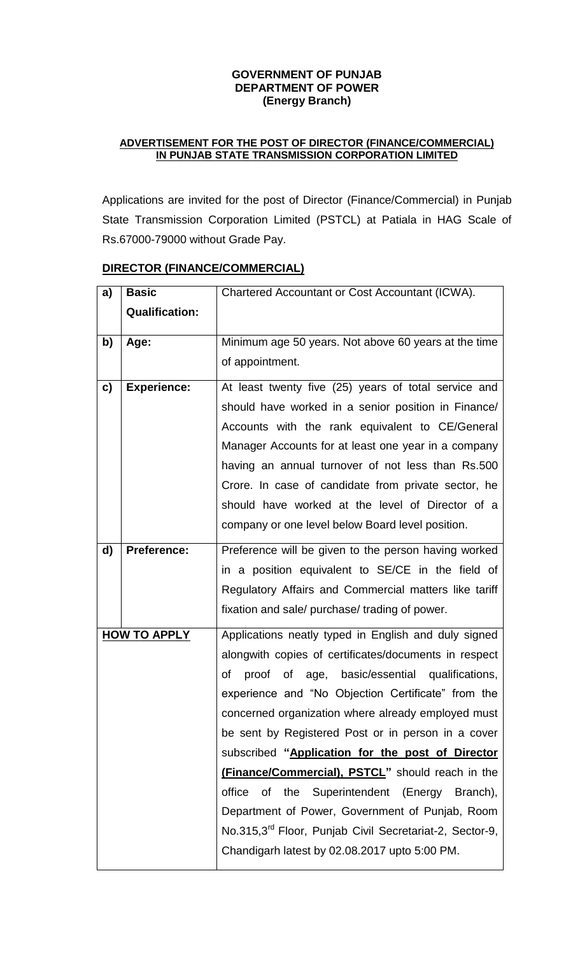#### **GOVERNMENT OF PUNJAB DEPARTMENT OF POWER (Energy Branch)**

### **ADVERTISEMENT FOR THE POST OF DIRECTOR (FINANCE/COMMERCIAL) IN PUNJAB STATE TRANSMISSION CORPORATION LIMITED**

Applications are invited for the post of Director (Finance/Commercial) in Punjab State Transmission Corporation Limited (PSTCL) at Patiala in HAG Scale of Rs.67000-79000 without Grade Pay.

| a)                  | <b>Basic</b>          | Chartered Accountant or Cost Accountant (ICWA).                     |
|---------------------|-----------------------|---------------------------------------------------------------------|
|                     | <b>Qualification:</b> |                                                                     |
|                     |                       |                                                                     |
| b)                  | Age:                  | Minimum age 50 years. Not above 60 years at the time                |
|                     |                       | of appointment.                                                     |
| c)                  | <b>Experience:</b>    | At least twenty five (25) years of total service and                |
|                     |                       |                                                                     |
|                     |                       | should have worked in a senior position in Finance/                 |
|                     |                       | Accounts with the rank equivalent to CE/General                     |
|                     |                       | Manager Accounts for at least one year in a company                 |
|                     |                       | having an annual turnover of not less than Rs.500                   |
|                     |                       | Crore. In case of candidate from private sector, he                 |
|                     |                       | should have worked at the level of Director of a                    |
|                     |                       | company or one level below Board level position.                    |
| d)                  | <b>Preference:</b>    | Preference will be given to the person having worked                |
|                     |                       | in a position equivalent to SE/CE in the field of                   |
|                     |                       | Regulatory Affairs and Commercial matters like tariff               |
|                     |                       | fixation and sale/ purchase/ trading of power.                      |
| <b>HOW TO APPLY</b> |                       | Applications neatly typed in English and duly signed                |
|                     |                       | alongwith copies of certificates/documents in respect               |
|                     |                       | proof of age, basic/essential qualifications,<br>οf                 |
|                     |                       | experience and "No Objection Certificate" from the                  |
|                     |                       | concerned organization where already employed must                  |
|                     |                       | be sent by Registered Post or in person in a cover                  |
|                     |                       | subscribed "Application for the post of Director                    |
|                     |                       | (Finance/Commercial), PSTCL" should reach in the                    |
|                     |                       | the Superintendent<br>office<br>(Energy<br>Branch),<br>οf           |
|                     |                       | Department of Power, Government of Punjab, Room                     |
|                     |                       | No.315,3 <sup>rd</sup> Floor, Punjab Civil Secretariat-2, Sector-9, |
|                     |                       | Chandigarh latest by 02.08.2017 upto 5:00 PM.                       |
|                     |                       |                                                                     |

## **DIRECTOR (FINANCE/COMMERCIAL)**